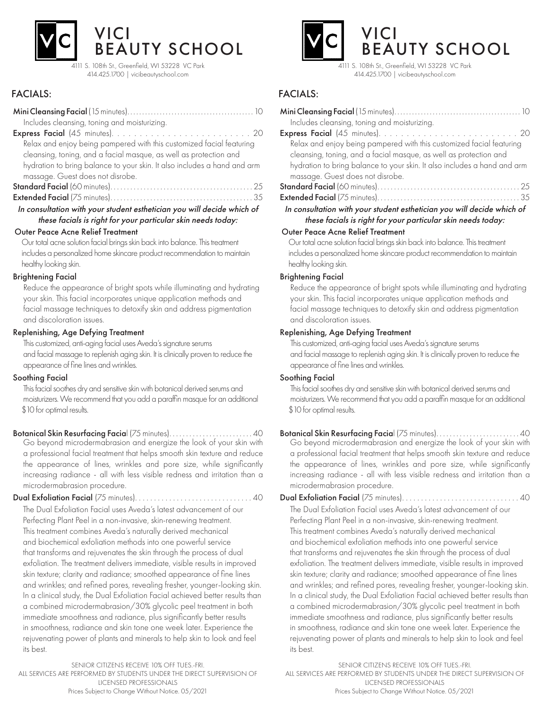

4111 S. 108th St., Greenfield, WI 53228 VC Park 414.425.1700 | vicibeautyschool.com

## FACIALS:

| Includes cleansing, toning and moisturizing.                             |
|--------------------------------------------------------------------------|
|                                                                          |
| Relax and enjoy being pampered with this customized facial featuring     |
| cleansing, toning, and a facial masque, as well as protection and        |
| hydration to bring balance to your skin. It also includes a hand and arm |
| massage. Guest does not disrobe.                                         |
|                                                                          |
|                                                                          |
| In consultation with your student esthetician you will decide which of   |

#### Outer Peace Acne Relief Treatment these facials is right for your particular skin needs today:

 Our total acne solution facial brings skin back into balance. This treatment includes a personalized home skincare product recommendation to maintain healthy looking skin.

### Brightening Facial

 Reduce the appearance of bright spots while illuminating and hydrating your skin. This facial incorporates unique application methods and facial massage techniques to detoxify skin and address pigmentation and discoloration issues.

### Replenishing, Age Defying Treatment

 This customized, anti-aging facial uses Aveda's signature serums and facial massage to replenish aging skin. It is clinically proven to reduce the appearance of fine lines and wrinkles.

#### Soothing Facial

 This facial soothes dry and sensitive skin with botanical derived serums and moisturizers. We recommend that you add a paraffin masque for an additional \$10 for optimal results.

Botanical Skin Resurfacing Facial (75 minutes). . . . . . . . . . . . . . . . . . . . . . . . . 40 Go beyond microdermabrasion and energize the look of your skin with a professional facial treatment that helps smooth skin texture and reduce the appearance of lines, wrinkles and pore size, while significantly increasing radiance - all with less visible redness and irritation than a microdermabrasion procedure.

Dual Exfoliation Facial (75 minutes). . . . . . . . . . . . . . . . . . . . . . . . . . . . . . . 40

The Dual Exfoliation Facial uses Aveda's latest advancement of our Perfecting Plant Peel in a non-invasive, skin-renewing treatment. This treatment combines Aveda's naturally derived mechanical and biochemical exfoliation methods into one powerful service that transforms and rejuvenates the skin through the process of dual exfoliation. The treatment delivers immediate, visible results in improved skin texture; clarity and radiance; smoothed appearance of fine lines and wrinkles; and refined pores, revealing fresher, younger-looking skin. In a clinical study, the Dual Exfoliation Facial achieved better results than a combined microdermabrasion/30% glycolic peel treatment in both immediate smoothness and radiance, plus significantly better results in smoothness, radiance and skin tone one week later. Experience the rejuvenating power of plants and minerals to help skin to look and feel its best.

SENIOR CITIZENS RECEIVE 10% OFF TUES.-FRI. ALL SERVICES ARE PERFORMED BY STUDENTS UNDER THE DIRECT SUPERVISION OF LICENSED PROFESSIONALS Prices Subject to Change Without Notice. 05/2021



414.425.1700 | vicibeautyschool.com

### FACIALS:

| Includes cleansing, toning and moisturizing.                                 |
|------------------------------------------------------------------------------|
|                                                                              |
| Relax and enjoy being pampered with this customized facial featuring         |
| cleansing, toning, and a facial masque, as well as protection and            |
| hydration to bring balance to your skin. It also includes a hand and arm     |
| massage. Guest does not disrobe.                                             |
|                                                                              |
|                                                                              |
| In consultation with your student esthetician you will decide which of       |
| these facials is right for your particular skin needs today:                 |
| Outer Peace Acne Relief Treatment                                            |
| Our total acne solution facial brings skin back into balance. This treatment |
| includes a personalized home skincare product recommendation to maintain     |
| healthy looking skin.                                                        |
| <b>Brightening Facial</b>                                                    |
| Reduce the appearance of bright spots while illuminating and hydrating       |
| your skin. This facial incorporates unique application methods and           |
| facial massage techniques to detoxify skin and address pigmentation          |
| and discoloration issues.                                                    |
| Replenishing, Age Defying Treatment                                          |
| This customized, anti-aging facial uses Aveda's signature serums             |

 and facial massage to replenish aging skin. It is clinically proven to reduce the appearance of fine lines and wrinkles.

#### Soothing Facial

 This facial soothes dry and sensitive skin with botanical derived serums and moisturizers. We recommend that you add a paraffin masque for an additional \$10 for optimal results.

Botanical Skin Resurfacing Facial (75 minutes). . . . . . . . . . . . . . . . . . . . . . . . . 40 Go beyond microdermabrasion and energize the look of your skin with a professional facial treatment that helps smooth skin texture and reduce the appearance of lines, wrinkles and pore size, while significantly increasing radiance - all with less visible redness and irritation than a microdermabrasion procedure.

Dual Exfoliation Facial (75 minutes). . . . . . . . . . . . . . . . . . . . . . . . . . . . . . . 40 The Dual Exfoliation Facial uses Aveda's latest advancement of our Perfecting Plant Peel in a non-invasive, skin-renewing treatment. This treatment combines Aveda's naturally derived mechanical and biochemical exfoliation methods into one powerful service that transforms and rejuvenates the skin through the process of dual exfoliation. The treatment delivers immediate, visible results in improved skin texture; clarity and radiance; smoothed appearance of fine lines and wrinkles; and refined pores, revealing fresher, younger-looking skin. In a clinical study, the Dual Exfoliation Facial achieved better results than a combined microdermabrasion/30% glycolic peel treatment in both immediate smoothness and radiance, plus significantly better results in smoothness, radiance and skin tone one week later. Experience the rejuvenating power of plants and minerals to help skin to look and feel its best.

SENIOR CITIZENS RECEIVE 10% OFF TUES.-FRI. ALL SERVICES ARE PERFORMED BY STUDENTS UNDER THE DIRECT SUPERVISION OF LICENSED PROFESSIONALS Prices Subject to Change Without Notice. 05/2021